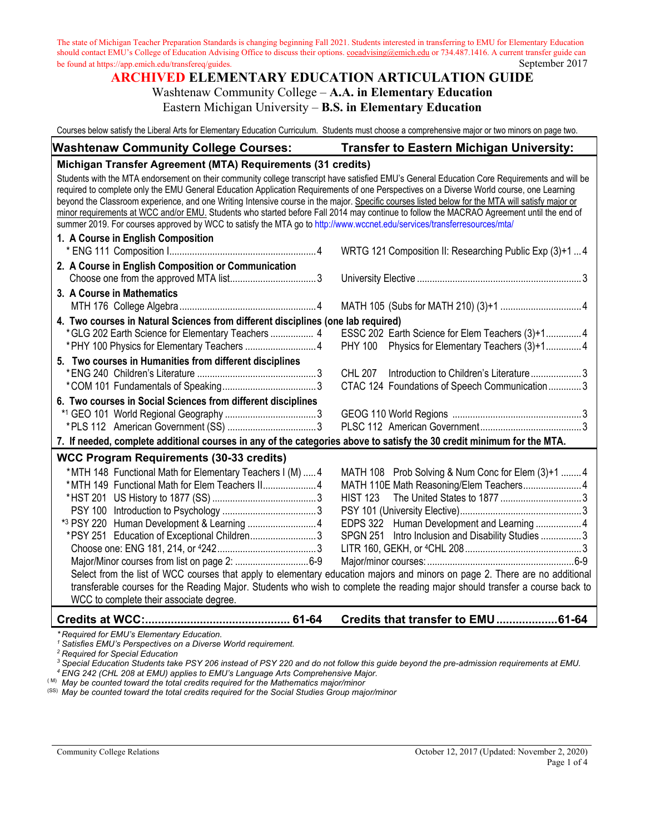### **ARCHIVED ELEMENTARY EDUCATION ARTICULATION GUIDE** Washtenaw Community College – **A.A. in Elementary Education**

Eastern Michigan University – **B.S. in Elementary Education**

Courses below satisfy the Liberal Arts for Elementary Education Curriculum. Students must choose a comprehensive major or two minors on page two.

| <b>Washtenaw Community College Courses:</b>                 | <b>Transfer to Eastern Michigan University:</b> |
|-------------------------------------------------------------|-------------------------------------------------|
| Michigan Transfer Agreement (MTA) Requirements (31 credits) |                                                 |

Students with the MTA endorsement on their community college transcript have satisfied EMU's General Education Core Requirements and will be required to complete only the EMU General Education Application Requirements of one Perspectives on a Diverse World course, one Learning beyond the Classroom experience, and one Writing Intensive course in the major. Specific courses listed below for the MTA will satisfy major or minor requirements at WCC and/or EMU. Students who started before Fall 2014 may continue to follow the MACRAO Agreement until the end of summer 2019. For courses approved by WCC to satisfy the MTA go to<http://www.wccnet.edu/services/transferresources/mta/> **1. A Course in English Composition** \* ENG 111 Composition I..........................................................4 WRTG 121 Composition II: Researching Public Exp (3)+1 ... 4 **2. A Course in English Composition or Communication** Choose one from the approved MTA list..................................3 University Elective ................................................................. 3

**3. A Course in Mathematics** MTH 176 College Algebra......................................................4 MATH 105 (Subs for MATH 210) (3)+1 ................................4 **4. Two courses in Natural Sciences from different disciplines (one lab required)**

| *GLG 202 Earth Science for Elementary Teachers  4       |  | ESSC 202 Earth Science for Elem Teachers (3)+14 |  |
|---------------------------------------------------------|--|-------------------------------------------------|--|
|                                                         |  | PHY 100 Physics for Elementary Teachers (3)+14  |  |
| 5. Two courses in Humanities from different disciplines |  |                                                 |  |
|                                                         |  |                                                 |  |

|  | 6. Two courses in Social Sciences from different disciplines |  |  |
|--|--------------------------------------------------------------|--|--|
|  |                                                              |  |  |
|  |                                                              |  |  |

#### \*1 GEO 101 World Regional Geography ....................................3 GEOG 110 World Regions ...................................................3 \*PLS 112 American Government (SS) ...................................3 PLSC 112 American Government........................................3 **7. If needed, complete additional courses in any of the categories above to satisfy the 30 credit minimum for the MTA. WCC Program Requirements (30-33 credits)**

| *MTH 148 Functional Math for Elementary Teachers I (M)  4 |                                             |                                                                                                                                                                                                                                                                                                                                                                                                                      |
|-----------------------------------------------------------|---------------------------------------------|----------------------------------------------------------------------------------------------------------------------------------------------------------------------------------------------------------------------------------------------------------------------------------------------------------------------------------------------------------------------------------------------------------------------|
|                                                           |                                             |                                                                                                                                                                                                                                                                                                                                                                                                                      |
|                                                           |                                             |                                                                                                                                                                                                                                                                                                                                                                                                                      |
|                                                           |                                             |                                                                                                                                                                                                                                                                                                                                                                                                                      |
|                                                           |                                             |                                                                                                                                                                                                                                                                                                                                                                                                                      |
|                                                           |                                             |                                                                                                                                                                                                                                                                                                                                                                                                                      |
|                                                           |                                             |                                                                                                                                                                                                                                                                                                                                                                                                                      |
|                                                           |                                             |                                                                                                                                                                                                                                                                                                                                                                                                                      |
|                                                           |                                             |                                                                                                                                                                                                                                                                                                                                                                                                                      |
|                                                           |                                             |                                                                                                                                                                                                                                                                                                                                                                                                                      |
| WCC to complete their associate degree.                   |                                             |                                                                                                                                                                                                                                                                                                                                                                                                                      |
|                                                           | *PSY 251 Education of Exceptional Children3 | MATH 108 Prob Solving & Num Conc for Elem (3)+1  4<br>EDPS 322 Human Development and Learning  4<br>SPGN 251 Intro Inclusion and Disability Studies 3<br>Select from the list of WCC courses that apply to elementary education majors and minors on page 2. There are no additional<br>transferable courses for the Reading Major. Students who wish to complete the reading major should transfer a course back to |

#### **Credits at WCC:............................................. 61-64 Credits that transfer to EMU...................61-64**

*\* Required for EMU's Elementary Education.* 

*<sup>1</sup> Satisfies EMU's Perspectives on a Diverse World requirement.*

*<sup>2</sup> Required for Special Education*

*<sup>3</sup> Special Education Students take PSY 206 instead of PSY 220 and do not follow this guide beyond the pre-admission requirements at EMU.*

*<sup>4</sup> ENG 242 (CHL 208 at EMU) applies to EMU's Language Arts Comprehensive Major.* ( M) *May be counted toward the total credits required for the Mathematics major/minor*

(SS) *May be counted toward the total credits required for the Social Studies Group major/minor*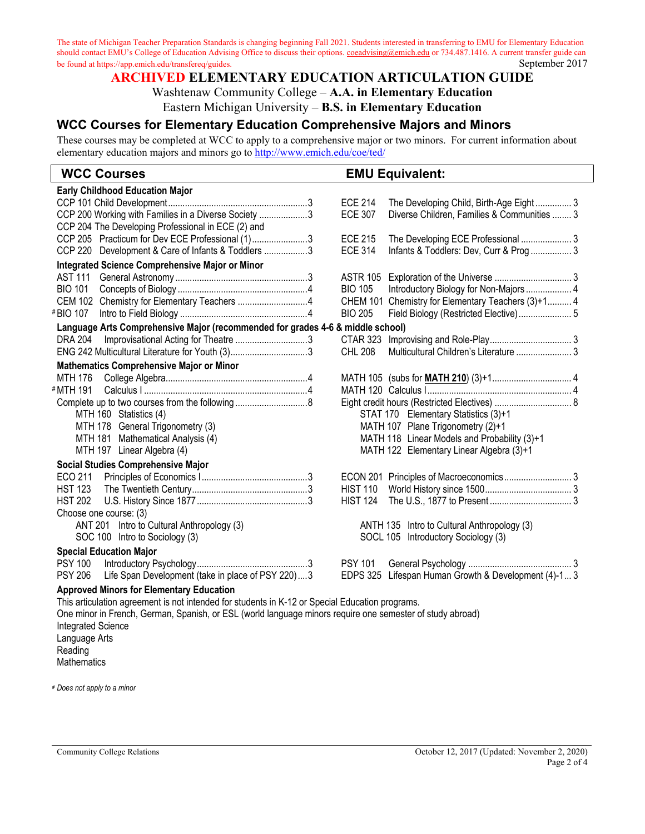# **ARCHIVED ELEMENTARY EDUCATION ARTICULATION GUIDE**

### Washtenaw Community College – **A.A. in Elementary Education**

Eastern Michigan University – **B.S. in Elementary Education**

## **WCC Courses for Elementary Education Comprehensive Majors and Minors**

These courses may be completed at WCC to apply to a comprehensive major or two minors. For current information about elementary education majors and minors go to http://www.emich.edu/coe/ted/

## **WCC Courses EMU Equivalent:**

| <b>Early Childhood Education Major</b>                                                                    |                                                               |  |  |  |  |
|-----------------------------------------------------------------------------------------------------------|---------------------------------------------------------------|--|--|--|--|
|                                                                                                           | <b>ECE 214</b><br>The Developing Child, Birth-Age Eight3      |  |  |  |  |
| CCP 200 Working with Families in a Diverse Society 3                                                      | <b>ECE 307</b><br>Diverse Children, Families & Communities  3 |  |  |  |  |
| CCP 204 The Developing Professional in ECE (2) and                                                        |                                                               |  |  |  |  |
| CCP 205 Practicum for Dev ECE Professional (1)3                                                           | <b>ECE 215</b><br>The Developing ECE Professional  3          |  |  |  |  |
| CCP 220 Development & Care of Infants & Toddlers 3                                                        | <b>ECE 314</b><br>Infants & Toddlers: Dev, Curr & Prog  3     |  |  |  |  |
| Integrated Science Comprehensive Major or Minor                                                           |                                                               |  |  |  |  |
| <b>AST 111</b>                                                                                            | <b>ASTR 105</b>                                               |  |  |  |  |
| <b>BIO 101</b>                                                                                            | Introductory Biology for Non-Majors  4<br><b>BIO 105</b>      |  |  |  |  |
| CEM 102 Chemistry for Elementary Teachers 4                                                               | CHEM 101 Chemistry for Elementary Teachers (3)+1 4            |  |  |  |  |
| #BIO 107                                                                                                  | <b>BIO 205</b><br>Field Biology (Restricted Elective) 5       |  |  |  |  |
| Language Arts Comprehensive Major (recommended for grades 4-6 & middle school)                            |                                                               |  |  |  |  |
| <b>DRA 204</b><br>Improvisational Acting for Theatre 3                                                    | CTAR 323                                                      |  |  |  |  |
| ENG 242 Multicultural Literature for Youth (3)3                                                           | Multicultural Children's Literature  3<br><b>CHL 208</b>      |  |  |  |  |
| <b>Mathematics Comprehensive Major or Minor</b>                                                           |                                                               |  |  |  |  |
| MTH 176                                                                                                   |                                                               |  |  |  |  |
| #MTH 191                                                                                                  |                                                               |  |  |  |  |
|                                                                                                           | Eight credit hours (Restricted Electives)  8                  |  |  |  |  |
| MTH 160 Statistics (4)                                                                                    | STAT 170 Elementary Statistics (3)+1                          |  |  |  |  |
| MTH 178 General Trigonometry (3)                                                                          | MATH 107 Plane Trigonometry (2)+1                             |  |  |  |  |
| MTH 181 Mathematical Analysis (4)                                                                         | MATH 118 Linear Models and Probability (3)+1                  |  |  |  |  |
| MTH 197 Linear Algebra (4)                                                                                | MATH 122 Elementary Linear Algebra (3)+1                      |  |  |  |  |
| <b>Social Studies Comprehensive Major</b>                                                                 |                                                               |  |  |  |  |
| ECO 211                                                                                                   |                                                               |  |  |  |  |
| <b>HST 123</b>                                                                                            | <b>HIST 110</b>                                               |  |  |  |  |
| <b>HST 202</b>                                                                                            | <b>HIST 124</b>                                               |  |  |  |  |
| Choose one course: (3)                                                                                    |                                                               |  |  |  |  |
| ANT 201 Intro to Cultural Anthropology (3)                                                                | ANTH 135 Intro to Cultural Anthropology (3)                   |  |  |  |  |
| SOC 100 Intro to Sociology (3)                                                                            | SOCL 105 Introductory Sociology (3)                           |  |  |  |  |
| <b>Special Education Major</b>                                                                            |                                                               |  |  |  |  |
|                                                                                                           |                                                               |  |  |  |  |
| Life Span Development (take in place of PSY 220)3<br><b>PSY 206</b>                                       | EDPS 325 Lifespan Human Growth & Development (4)-1 3          |  |  |  |  |
| <b>Approved Minors for Elementary Education</b>                                                           |                                                               |  |  |  |  |
| This articulation agreement is not intended for students in K-12 or Special Education programs.           |                                                               |  |  |  |  |
| One miner in Franch, Cerman, Spenigh or ESI, (world lenguage miners require and compator of study abroad) |                                                               |  |  |  |  |

One minor in French, German, Spanish, or ESL (world language minors require one semester of study abroad) Integrated Science Language Arts Reading **Mathematics** 

# *Does not apply to a minor*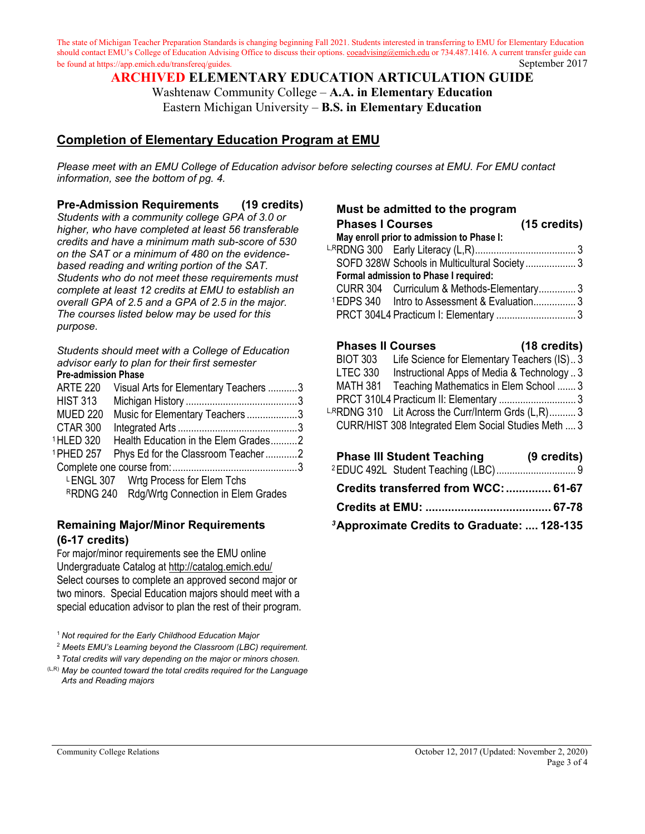> **ARCHIVED ELEMENTARY EDUCATION ARTICULATION GUIDE** Washtenaw Community College – **A.A. in Elementary Education**

> > Eastern Michigan University – **B.S. in Elementary Education**

## **Completion of Elementary Education Program at EMU**

*Please meet with an EMU College of Education advisor before selecting courses at EMU. For EMU contact information, see the bottom of pg. 4.*

### **Pre-Admission Requirements (19 credits)**

*Students with a community college GPA of 3.0 or higher, who have completed at least 56 transferable credits and have a minimum math sub-score of 530 on the SAT or a minimum of 480 on the evidencebased reading and writing portion of the SAT. Students who do not meet these requirements must complete at least 12 credits at EMU to establish an overall GPA of 2.5 and a GPA of 2.5 in the major. The courses listed below may be used for this purpose.*

*Students should meet with a College of Education advisor early to plan for their first semester*  **Pre-admission Phase**

| <b>ARTE 220</b>       | Visual Arts for Elementary Teachers 3        |  |
|-----------------------|----------------------------------------------|--|
| <b>HIST 313</b>       |                                              |  |
| <b>MUED 220</b>       | Music for Elementary Teachers3               |  |
| CTAR 300              |                                              |  |
| <sup>1</sup> HLED 320 | Health Education in the Elem Grades2         |  |
| <sup>1</sup> PHED 257 | Phys Ed for the Classroom Teacher2           |  |
|                       |                                              |  |
|                       | LENGL 307 Wrtg Process for Elem Tchs         |  |
|                       | RRDNG 240 Rdg/Wrtg Connection in Elem Grades |  |
|                       |                                              |  |

#### **Remaining Major/Minor Requirements (6-17 credits)**

For major/minor requirements see the EMU online Undergraduate Catalog at<http://catalog.emich.edu/> Select courses to complete an approved second major or two minors. Special Education majors should meet with a special education advisor to plan the rest of their program.

<sup>1</sup> *Not required for the Early Childhood Education Major*

<sup>2</sup> *Meets EMU's Learning beyond the Classroom (LBC) requirement.*

**<sup>3</sup>** *Total credits will vary depending on the major or minors chosen.*

(L,R) *May be counted toward the total credits required for the Language Arts and Reading majors*

#### **Must be admitted to the program**

| <b>Phases I Courses</b> |                                                         | $(15 \text{ credits})$ |
|-------------------------|---------------------------------------------------------|------------------------|
|                         | May enroll prior to admission to Phase I:               |                        |
|                         |                                                         |                        |
|                         | SOFD 328W Schools in Multicultural Society 3            |                        |
|                         | Formal admission to Phase I required:                   |                        |
|                         | CURR 304 Curriculum & Methods-Elementary3               |                        |
|                         | <sup>1</sup> EDPS 340 Intro to Assessment & Evaluation3 |                        |
|                         | PRCT 304L4 Practicum I: Elementary  3                   |                        |

# **Phases II Courses (18 credits)**

| <b>BIOT 303</b><br>Life Science for Elementary Teachers (IS)3 |  |
|---------------------------------------------------------------|--|
| <b>LTEC 330</b><br>Instructional Apps of Media & Technology 3 |  |
| Teaching Mathematics in Elem School  3<br>MATH 381            |  |
| PRCT 310L4 Practicum II: Elementary  3                        |  |
| LRRDNG 310 Lit Across the Curr/Interm Grds (L,R) 3            |  |
| CURR/HIST 308 Integrated Elem Social Studies Meth  3          |  |

| <b>Phase III Student Teaching</b>                      | (9 credits) |
|--------------------------------------------------------|-------------|
|                                                        |             |
| Credits transferred from WCC:  61-67                   |             |
|                                                        |             |
| <sup>3</sup> Approximate Credits to Graduate:  128-135 |             |